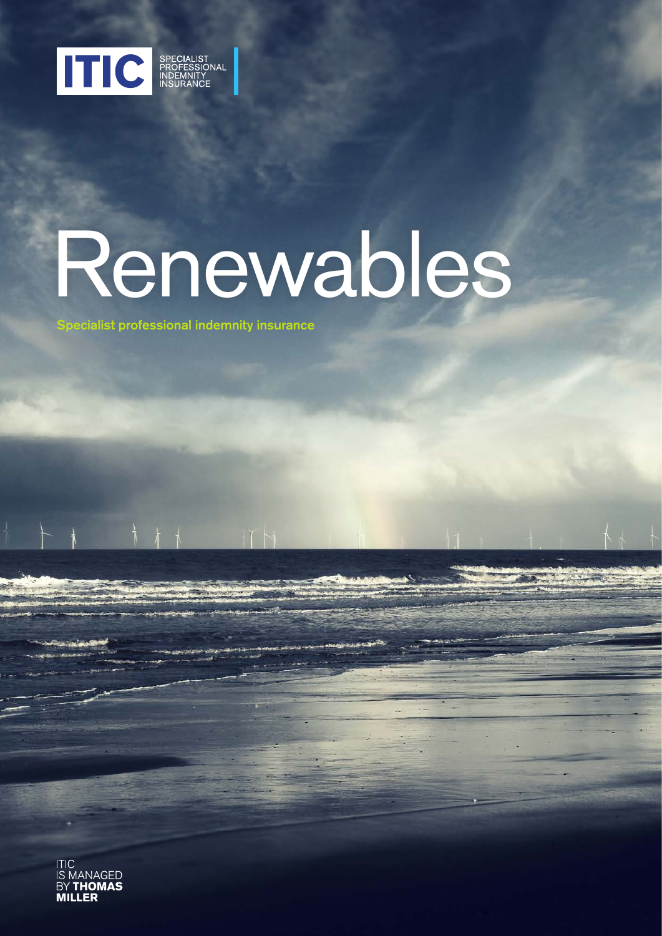

# Renewables

Specialist professional indemnity insurance

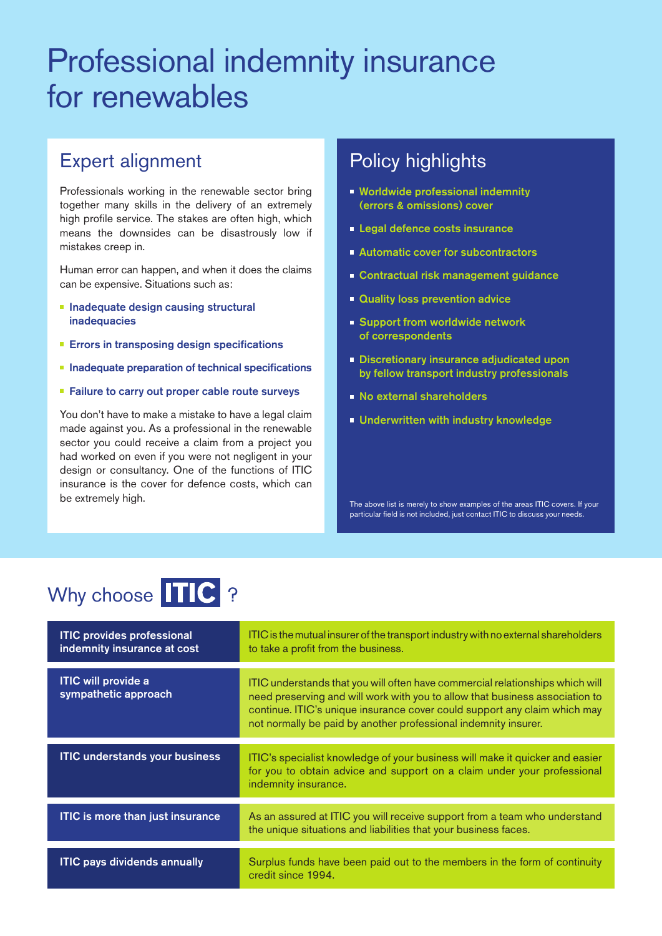# Professional indemnity insurance for renewables

### Expert alignment

Professionals working in the renewable sector bring together many skills in the delivery of an extremely high profile service. The stakes are often high, which means the downsides can be disastrously low if mistakes creep in.

Human error can happen, and when it does the claims can be expensive. Situations such as:

- **Inadequate design causing structural** inadequacies
- **Errors in transposing design specifications**
- $\blacksquare$  Inadequate preparation of technical specifications
- **Failure to carry out proper cable route surveys**

You don't have to make a mistake to have a legal claim made against you. As a professional in the renewable sector you could receive a claim from a project you had worked on even if you were not negligent in your design or consultancy. One of the functions of ITIC insurance is the cover for defence costs, which can

# **Policy highlights**

- **Worldwide professional indemnity** (errors & omissions) cover
- **Legal defence costs insurance**
- **Automatic cover for subcontractors**
- **Contractual risk management guidance**
- **Quality loss prevention advice**
- **Support from worldwide network** of correspondents
- **Discretionary insurance adjudicated upon** by fellow transport industry professionals
- **No external shareholders**
- **Underwritten with industry knowledge**

be extremely high. The above list is merely to show examples of the areas ITIC covers. If your particular field is not included, just contact ITIC to discuss your needs.

# Why choose TIC ?

| <b>ITIC provides professional</b><br>indemnity insurance at cost | ITIC is the mutual insurer of the transport industry with no external shareholders<br>to take a profit from the business.                                                                                                                                                                                     |
|------------------------------------------------------------------|---------------------------------------------------------------------------------------------------------------------------------------------------------------------------------------------------------------------------------------------------------------------------------------------------------------|
| <b>ITIC will provide a</b><br>sympathetic approach               | ITIC understands that you will often have commercial relationships which will<br>need preserving and will work with you to allow that business association to<br>continue. ITIC's unique insurance cover could support any claim which may<br>not normally be paid by another professional indemnity insurer. |
| <b>ITIC understands your business</b>                            | ITIC's specialist knowledge of your business will make it quicker and easier<br>for you to obtain advice and support on a claim under your professional<br>indemnity insurance.                                                                                                                               |
| <b>ITIC is more than just insurance</b>                          | As an assured at ITIC you will receive support from a team who understand<br>the unique situations and liabilities that your business faces.                                                                                                                                                                  |
| <b>ITIC pays dividends annually</b>                              | Surplus funds have been paid out to the members in the form of continuity<br>credit since 1994.                                                                                                                                                                                                               |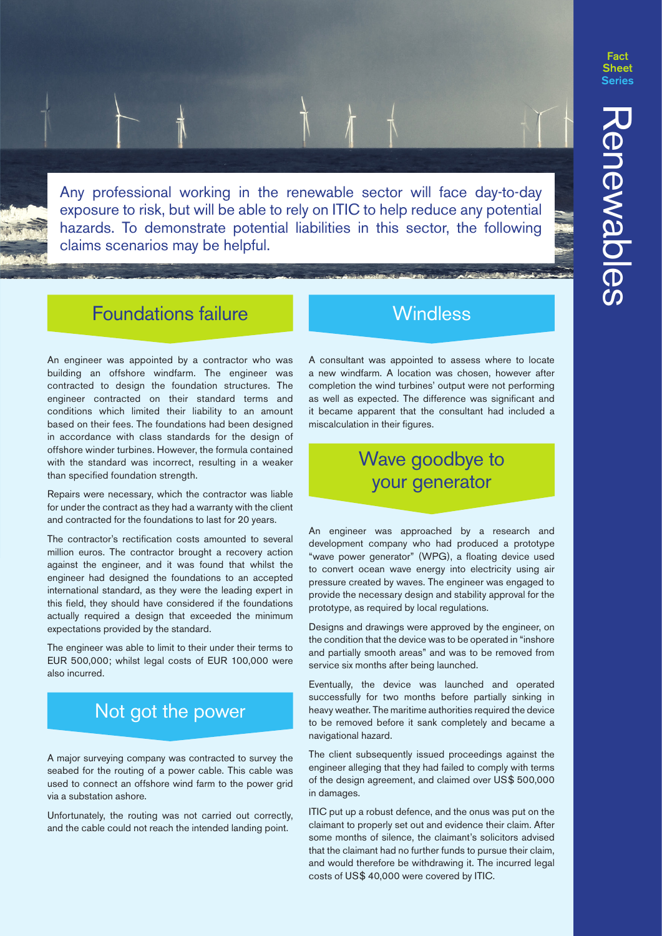Fact **Sheet** 

Any professional working in the renewable sector will face day-to-day exposure to risk, but will be able to rely on ITIC to help reduce any potential hazards. To demonstrate potential liabilities in this sector, the following claims scenarios may be helpful.

### Foundations failure

An engineer was appointed by a contractor who was building an offshore windfarm. The engineer was contracted to design the foundation structures. The engineer contracted on their standard terms and conditions which limited their liability to an amount based on their fees. The foundations had been designed in accordance with class standards for the design of offshore winder turbines. However, the formula contained with the standard was incorrect, resulting in a weaker than specified foundation strength.

Repairs were necessary, which the contractor was liable for under the contract as they had a warranty with the client and contracted for the foundations to last for 20 years.

The contractor's rectification costs amounted to several million euros. The contractor brought a recovery action against the engineer, and it was found that whilst the engineer had designed the foundations to an accepted international standard, as they were the leading expert in this field, they should have considered if the foundations actually required a design that exceeded the minimum expectations provided by the standard.

The engineer was able to limit to their under their terms to EUR 500,000; whilst legal costs of EUR 100,000 were also incurred.

### Not got the power

A major surveying company was contracted to survey the seabed for the routing of a power cable. This cable was used to connect an offshore wind farm to the power grid via a substation ashore.

Unfortunately, the routing was not carried out correctly, and the cable could not reach the intended landing point.

### **Windless**

A consultant was appointed to assess where to locate a new windfarm. A location was chosen, however after completion the wind turbines' output were not performing as well as expected. The difference was significant and it became apparent that the consultant had included a miscalculation in their figures.

### Wave goodbye to your generator

An engineer was approached by a research and development company who had produced a prototype "wave power generator" (WPG), a floating device used to convert ocean wave energy into electricity using air pressure created by waves. The engineer was engaged to provide the necessary design and stability approval for the prototype, as required by local regulations.

Designs and drawings were approved by the engineer, on the condition that the device was to be operated in "inshore and partially smooth areas" and was to be removed from service six months after being launched.

Eventually, the device was launched and operated successfully for two months before partially sinking in heavy weather. The maritime authorities required the device to be removed before it sank completely and became a navigational hazard.

The client subsequently issued proceedings against the engineer alleging that they had failed to comply with terms of the design agreement, and claimed over US\$ 500,000 in damages.

ITIC put up a robust defence, and the onus was put on the claimant to properly set out and evidence their claim. After some months of silence, the claimant's solicitors advised that the claimant had no further funds to pursue their claim, and would therefore be withdrawing it. The incurred legal costs of US\$ 40,000 were covered by ITIC.